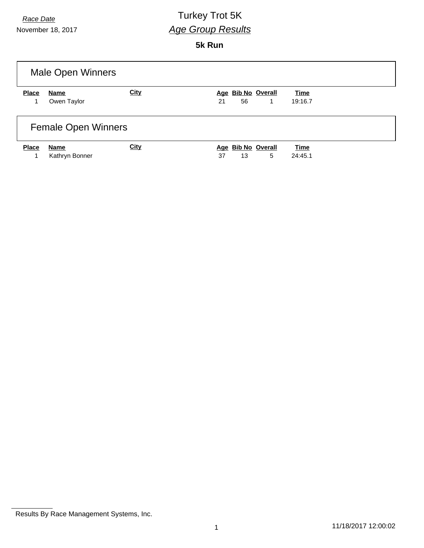# *Race Date* Turkey Trot 5K *Age Group Results*

**5k Run**

| Male Open Winners          |                |             |                    |             |  |
|----------------------------|----------------|-------------|--------------------|-------------|--|
| <b>Place</b>               | <b>Name</b>    | <b>City</b> | Age Bib No Overall | <b>Time</b> |  |
| 1                          | Owen Taylor    |             | 56<br>21<br>1      | 19:16.7     |  |
| <b>Female Open Winners</b> |                |             |                    |             |  |
| <b>Place</b>               | Name           | <b>City</b> | Age Bib No Overall | <b>Time</b> |  |
| 1                          | Kathryn Bonner |             | 5<br>37<br>13      | 24:45.1     |  |

Results By Race Management Systems, Inc.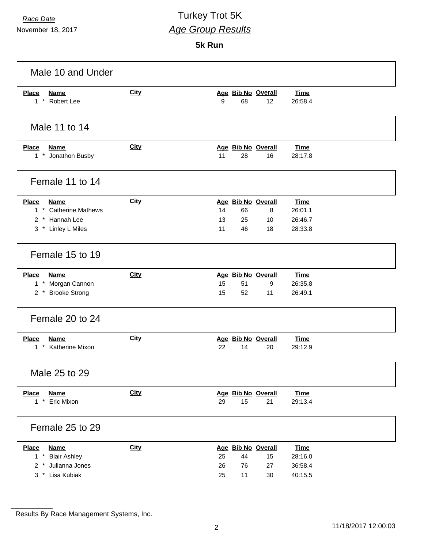### *Race Date* Turkey Trot 5K *Age Group Results*

**5k Run**

| Male 10 and Under                                                                            |             |                                                                          |                                              |
|----------------------------------------------------------------------------------------------|-------------|--------------------------------------------------------------------------|----------------------------------------------|
| <b>Place</b><br><b>Name</b><br>1 * Robert Lee                                                | <b>City</b> | Age Bib No Overall<br>9<br>68<br>12                                      | <b>Time</b><br>26:58.4                       |
| Male 11 to 14                                                                                |             |                                                                          |                                              |
| <b>Place</b><br><b>Name</b><br>1 * Jonathon Busby                                            | <b>City</b> | Age Bib No Overall<br>11<br>28<br>16                                     | <b>Time</b><br>28:17.8                       |
| Female 11 to 14                                                                              |             |                                                                          |                                              |
| <b>Place</b><br><b>Name</b><br>1 * Catherine Mathews<br>2 * Hannah Lee<br>3 * Linley L Miles | <b>City</b> | Age Bib No Overall<br>14<br>8<br>66<br>13<br>10<br>25<br>11<br>46<br>18  | <b>Time</b><br>26:01.1<br>26:46.7<br>28:33.8 |
| Female 15 to 19                                                                              |             |                                                                          |                                              |
| <b>Place</b><br><b>Name</b><br>1 * Morgan Cannon<br>2 * Brooke Strong                        | <b>City</b> | Age Bib No Overall<br>15<br>51<br>9<br>15<br>52<br>11                    | <b>Time</b><br>26:35.8<br>26:49.1            |
| Female 20 to 24                                                                              |             |                                                                          |                                              |
| <b>Place</b><br><b>Name</b><br>1 * Katherine Mixon                                           | City        | Age Bib No Overall<br>22<br>14<br>20                                     | <b>Time</b><br>29:12.9                       |
| Male 25 to 29                                                                                |             |                                                                          |                                              |
| <b>Name</b><br><b>Place</b><br>1 * Eric Mixon                                                | <b>City</b> | Age Bib No Overall<br>29<br>15<br>21                                     | <b>Time</b><br>29:13.4                       |
| Female 25 to 29                                                                              |             |                                                                          |                                              |
| <b>Place</b><br><b>Name</b><br>1 * Blair Ashley<br>2 * Julianna Jones<br>3 * Lisa Kubiak     | City        | Age Bib No Overall<br>25<br>44<br>15<br>26<br>76<br>27<br>25<br>11<br>30 | <b>Time</b><br>28:16.0<br>36:58.4<br>40:15.5 |

Results By Race Management Systems, Inc.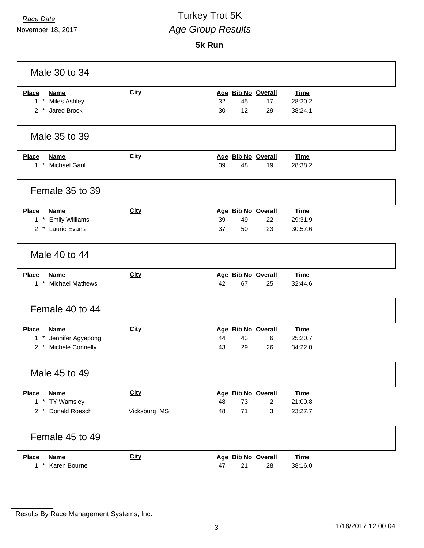# *Race Date* Turkey Trot 5K *Age Group Results*

**5k Run**

| Male 30 to 34                                 |              |                                                                |  |
|-----------------------------------------------|--------------|----------------------------------------------------------------|--|
| <b>Name</b><br><b>Place</b>                   | <b>City</b>  | Age Bib No Overall<br><b>Time</b>                              |  |
| 1 * Miles Ashley                              |              | 32<br>45<br>28:20.2<br>17                                      |  |
| 2 * Jared Brock                               |              | 12<br>38:24.1<br>30<br>29                                      |  |
| Male 35 to 39                                 |              |                                                                |  |
| <b>Place</b><br><b>Name</b>                   | City         | Age Bib No Overall<br><b>Time</b>                              |  |
| 1 * Michael Gaul                              |              | 39<br>48<br>19<br>28:38.2                                      |  |
| Female 35 to 39                               |              |                                                                |  |
| <b>Place</b><br><b>Name</b>                   | <b>City</b>  | Age Bib No Overall<br><b>Time</b>                              |  |
| 1 * Emily Williams                            |              | 39<br>29:31.9<br>49<br>22                                      |  |
| 2 * Laurie Evans                              |              | 37<br>50<br>23<br>30:57.6                                      |  |
| Male 40 to 44                                 |              |                                                                |  |
| <b>Place</b><br><b>Name</b>                   | <b>City</b>  | Age Bib No Overall<br><b>Time</b>                              |  |
| 1 * Michael Mathews                           |              | 67<br>42<br>25<br>32:44.6                                      |  |
| Female 40 to 44                               |              |                                                                |  |
| <b>Place</b><br><b>Name</b>                   | <b>City</b>  | Age Bib No Overall<br><b>Time</b>                              |  |
| 1 * Jennifer Agyepong                         |              | 25:20.7<br>44<br>43<br>6                                       |  |
| 2 * Michele Connelly                          |              | 43<br>29<br>26<br>34:22.0                                      |  |
| Male 45 to 49                                 |              |                                                                |  |
| <b>Name</b><br><b>Place</b>                   | <b>City</b>  | Age Bib No Overall<br><b>Time</b>                              |  |
| 1 * TY Wamsley                                |              | 48<br>73<br>21:00.8<br>2                                       |  |
| 2 * Donald Roesch                             | Vicksburg MS | 71<br>3<br>48<br>23:27.7                                       |  |
| Female 45 to 49                               |              |                                                                |  |
| <b>Place</b><br>Name<br>$1 *$<br>Karen Bourne | <b>City</b>  | Age Bib No Overall<br><b>Time</b><br>47<br>21<br>38:16.0<br>28 |  |

Results By Race Management Systems, Inc.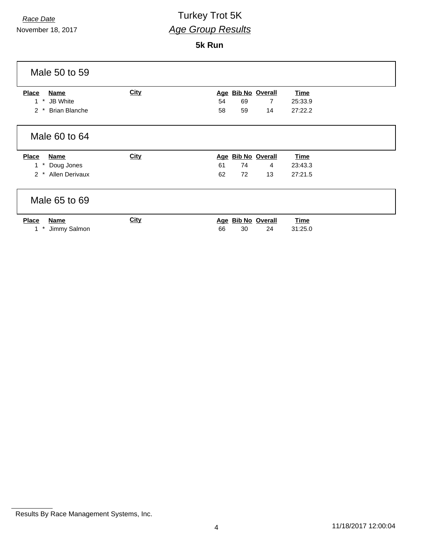# *Race Date* Turkey Trot 5K *Age Group Results*

**5k Run**

| Male 50 to 59                                     |             |                                             |
|---------------------------------------------------|-------------|---------------------------------------------|
| Place<br><b>Name</b>                              | <b>City</b> | <b>Bib No Overall</b><br><b>Time</b><br>Age |
| $^\ast$<br><b>JB</b> White                        |             | 54<br>69<br>$\overline{7}$<br>25:33.9       |
| $2 *$<br><b>Brian Blanche</b>                     |             | 59<br>27:22.2<br>58<br>14                   |
| Male 60 to 64                                     |             |                                             |
| <b>Place</b><br><b>Name</b>                       | <b>City</b> | <b>Bib No Overall</b><br><b>Time</b><br>Age |
| Doug Jones                                        |             | 74<br>61<br>23:43.3<br>4                    |
| <b>Allen Derivaux</b><br>$\mathcal{P}$<br>$\star$ |             | 72<br>27:21.5<br>62<br>13                   |
| Male 65 to 69                                     |             |                                             |
|                                                   | <b>City</b> | Age Bib No Overall<br><b>Time</b>           |
| <b>Place</b><br><b>Name</b>                       |             |                                             |

Results By Race Management Systems, Inc.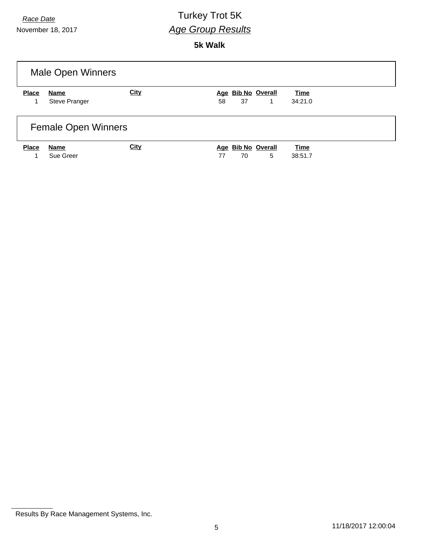# *Race Date* Turkey Trot 5K *Age Group Results*

**5k Walk**

| <b>Male Open Winners</b> |                            |             |                                     |                        |  |
|--------------------------|----------------------------|-------------|-------------------------------------|------------------------|--|
| <b>Place</b>             | Name                       | <b>City</b> | Age Bib No Overall                  | <b>Time</b>            |  |
|                          | Steve Pranger              |             | 37<br>58<br>1                       | 34:21.0                |  |
|                          | <b>Female Open Winners</b> |             |                                     |                        |  |
| <b>Place</b>             | Name<br>Sue Greer          | <b>City</b> | Age Bib No Overall<br>5<br>70<br>77 | <b>Time</b><br>38:51.7 |  |
|                          |                            |             |                                     |                        |  |

Results By Race Management Systems, Inc.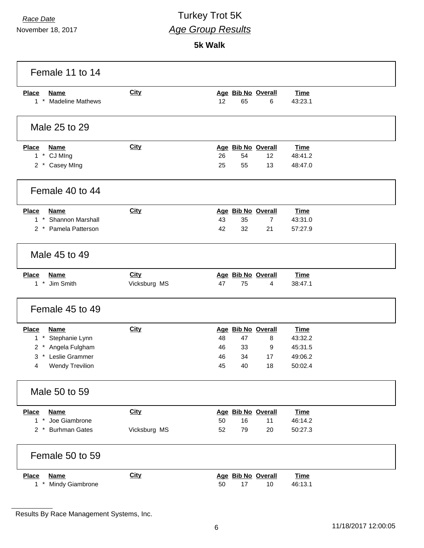### *Race Date* Turkey Trot 5K *Age Group Results*

**5k Walk**

| Female 11 to 14                                                                                                                     |                             |                                                                                          |                                                         |  |
|-------------------------------------------------------------------------------------------------------------------------------------|-----------------------------|------------------------------------------------------------------------------------------|---------------------------------------------------------|--|
| <b>Place</b><br><b>Name</b><br>$1$ <sup>*</sup><br><b>Madeline Mathews</b>                                                          | <b>City</b>                 | Age Bib No Overall<br>12<br>65<br>6                                                      | <b>Time</b><br>43:23.1                                  |  |
| Male 25 to 29                                                                                                                       |                             |                                                                                          |                                                         |  |
| <b>Place</b><br><b>Name</b><br>1 * CJ MIng<br>2 * Casey MIng                                                                        | <b>City</b>                 | Age Bib No Overall<br>54<br>12<br>26<br>25<br>55<br>13                                   | <b>Time</b><br>48:41.2<br>48:47.0                       |  |
| Female 40 to 44                                                                                                                     |                             |                                                                                          |                                                         |  |
| <b>Place</b><br><b>Name</b><br>1 * Shannon Marshall<br>2 * Pamela Patterson                                                         | <b>City</b>                 | Age Bib No Overall<br>43<br>$\overline{7}$<br>35<br>32<br>21<br>42                       | <b>Time</b><br>43:31.0<br>57:27.9                       |  |
| Male 45 to 49                                                                                                                       |                             |                                                                                          |                                                         |  |
| <b>Place</b><br><b>Name</b><br>1 * Jim Smith                                                                                        | <b>City</b><br>Vicksburg MS | Age Bib No Overall<br>75<br>47<br>4                                                      | <b>Time</b><br>38:47.1                                  |  |
| Female 45 to 49                                                                                                                     |                             |                                                                                          |                                                         |  |
| <b>Place</b><br><b>Name</b><br>$1*$<br>Stephanie Lynn<br>2 * Angela Fulgham<br>* Leslie Grammer<br>3<br><b>Wendy Trevilion</b><br>4 | <b>City</b>                 | Age Bib No Overall<br>48<br>47<br>8<br>33<br>9<br>46<br>34<br>46<br>17<br>45<br>40<br>18 | <b>Time</b><br>43:32.2<br>45:31.5<br>49:06.2<br>50:02.4 |  |
| Male 50 to 59                                                                                                                       |                             |                                                                                          |                                                         |  |
| <b>Name</b><br><b>Place</b><br>1 * Joe Giambrone<br>2 * Burhman Gates                                                               | <b>City</b><br>Vicksburg MS | Age Bib No Overall<br>50<br>16<br>11<br>52<br>79<br>20                                   | <b>Time</b><br>46:14.2<br>50:27.3                       |  |
| Female 50 to 59                                                                                                                     |                             |                                                                                          |                                                         |  |
| <b>Place</b><br><b>Name</b><br>1 * Mindy Giambrone                                                                                  | <b>City</b>                 | Age Bib No Overall<br>50<br>17<br>10                                                     | <b>Time</b><br>46:13.1                                  |  |

Results By Race Management Systems, Inc.